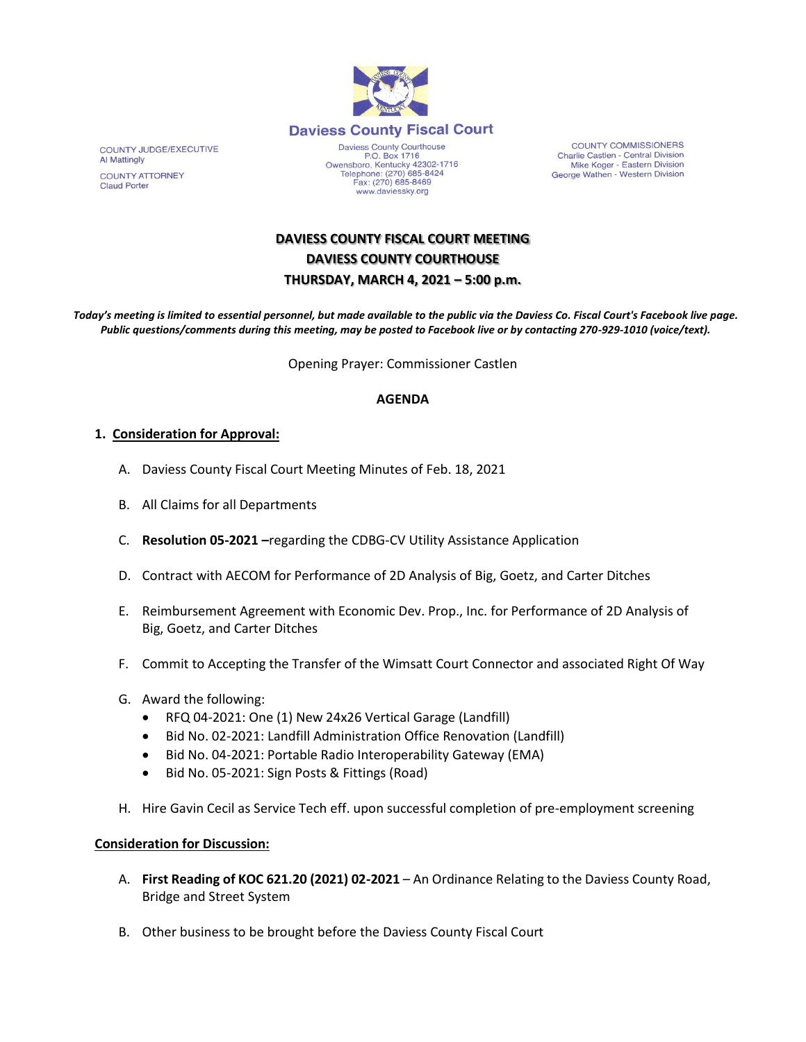

P.O. Box 1716<br>Owensboro, Kentucky 42302-1716 Telephone: (270) 685-8424<br>Fax: (270) 685-8469 www.daviessky.org

**COUNTY COMMISSIONERS** Charlie Castlen - Central Division<br>Mike Koger - Eastern Division George Wathen - Western Division

**DAVIESS COUNTY FISCAL COURT MEETING DAVIESS COUNTY COURTHOUSE THURSDAY, MARCH 4, 2021 – 5:00 p.m.** 

*Today's meeting is limited to essential personnel, but made available to the public via the Daviess Co. Fiscal Court's Facebook live page. Public questions/comments during this meeting, may be posted to Facebook live or by contacting 270-929-1010 (voice/text).*

Opening Prayer: Commissioner Castlen

## **AGENDA**

## **1. Consideration for Approval:**

- A. Daviess County Fiscal Court Meeting Minutes of Feb. 18, 2021
- B. All Claims for all Departments
- C. **Resolution 05-2021 –**regarding the CDBG-CV Utility Assistance Application
- D. Contract with AECOM for Performance of 2D Analysis of Big, Goetz, and Carter Ditches
- E. Reimbursement Agreement with Economic Dev. Prop., Inc. for Performance of 2D Analysis of Big, Goetz, and Carter Ditches
- F. Commit to Accepting the Transfer of the Wimsatt Court Connector and associated Right Of Way
- G. Award the following:
	- RFQ 04-2021: One (1) New 24x26 Vertical Garage (Landfill)
	- Bid No. 02-2021: Landfill Administration Office Renovation (Landfill)
	- Bid No. 04-2021: Portable Radio Interoperability Gateway (EMA)
	- Bid No. 05-2021: Sign Posts & Fittings (Road)
- H. Hire Gavin Cecil as Service Tech eff. upon successful completion of pre-employment screening

## **Consideration for Discussion:**

- A. **First Reading of KOC 621.20 (2021) 02-2021** An Ordinance Relating to the Daviess County Road, Bridge and Street System
- B. Other business to be brought before the Daviess County Fiscal Court

**COUNTY JUDGE/EXECUTIVE** Al Mattingly COUNTY ATTORNEY **Claud Porter**